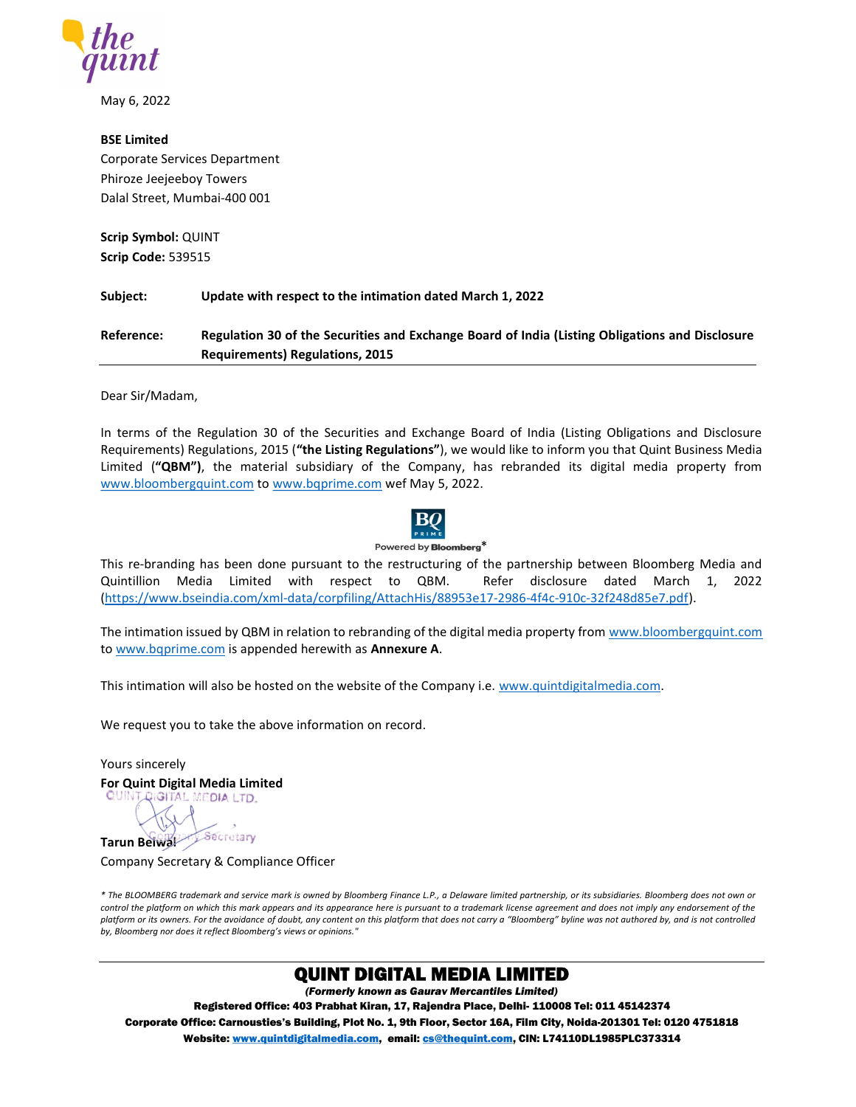

May 6, 2022

### BSE Limited

Corporate Services Department Phiroze Jeejeeboy Towers Dalal Street, Mumbai-400 001

Scrip Symbol: QUINT Scrip Code: 539515

Subject: Update with respect to the intimation dated March 1, 2022

Reference: Regulation 30 of the Securities and Exchange Board of India (Listing Obligations and Disclosure Requirements) Regulations, 2015

Dear Sir/Madam,

In terms of the Regulation 30 of the Securities and Exchange Board of India (Listing Obligations and Disclosure Requirements) Regulations, 2015 ("the Listing Regulations"), we would like to inform you that Quint Business Media Limited ("QBM"), the material subsidiary of the Company, has rebranded its digital media property from www.bloombergquint.com to www.bqprime.com wef May 5, 2022.



Powered by **Bloomberg**\*

This re-branding has been done pursuant to the restructuring of the partnership between Bloomberg Media and Quintillion Media Limited with respect to QBM. Refer disclosure dated March 1, 2022 (https://www.bseindia.com/xml-data/corpfiling/AttachHis/88953e17-2986-4f4c-910c-32f248d85e7.pdf).

The intimation issued by QBM in relation to rebranding of the digital media property from www.bloombergquint.com to www.bqprime.com is appended herewith as Annexure A.

This intimation will also be hosted on the website of the Company i.e. www.quintdigitalmedia.com.

We request you to take the above information on record.

Yours sincerely For Quint Digital Media Limited<br>QUINT QIGITAL MEDIA LTD.

Tarun Belwalt Secretary

Company Secretary & Compliance Officer

\* The BLOOMBERG trademark and service mark is owned by Bloomberg Finance L.P., a Delaware limited partnership, or its subsidiaries. Bloomberg does not own or control the platform on which this mark appears and its appearance here is pursuant to a trademark license agreement and does not imply any endorsement of the platform or its owners. For the avoidance of doubt, any content on this platform that does not carry a "Bloomberg" byline was not authored by, and is not controlled by, Bloomberg nor does it reflect Bloomberg's views or opinions."

## QUINT DIGITAL MEDIA LIMITED

(Formerly known as Gaurav Mercantiles Limited)

Registered Office: 403 Prabhat Kiran, 17, Rajendra Place, Delhi- 110008 Tel: 011 45142374 Corporate Office: Carnousties's Building, Plot No. 1, 9th Floor, Sector 16A, Film City, Noida-201301 Tel: 0120 4751818 Website: www.quintdigitalmedia.com, email: cs@thequint.com, CIN: L74110DL1985PLC373314